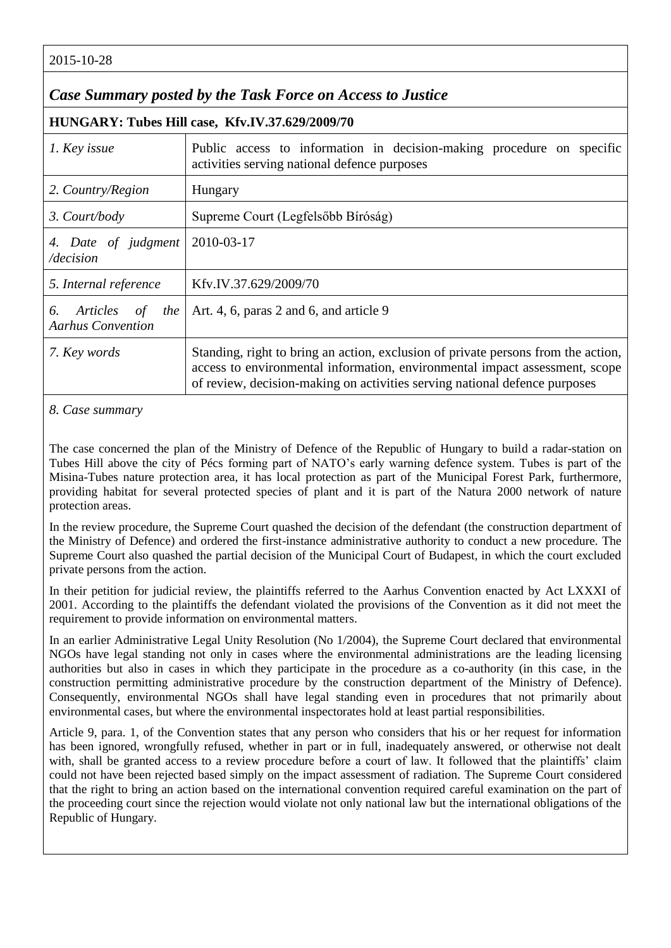2015-10-28

## *Case Summary posted by the Task Force on Access to Justice*

**HUNGARY: Tubes Hill case, Kfv.IV.37.629/2009/70**

| 1. Key issue                                            | Public access to information in decision-making procedure on specific<br>activities serving national defence purposes                                                                                                                          |
|---------------------------------------------------------|------------------------------------------------------------------------------------------------------------------------------------------------------------------------------------------------------------------------------------------------|
| 2. Country/Region                                       | Hungary                                                                                                                                                                                                                                        |
| 3. Court/body                                           | Supreme Court (Legfelsőbb Bíróság)                                                                                                                                                                                                             |
| 4. Date of judgment<br>/decision                        | 2010-03-17                                                                                                                                                                                                                                     |
| 5. Internal reference                                   | Kfv.IV.37.629/2009/70                                                                                                                                                                                                                          |
| Articles<br>6.<br>of<br>the<br><b>Aarhus Convention</b> | Art. 4, 6, paras 2 and 6, and article 9                                                                                                                                                                                                        |
| 7. Key words                                            | Standing, right to bring an action, exclusion of private persons from the action,<br>access to environmental information, environmental impact assessment, scope<br>of review, decision-making on activities serving national defence purposes |

*8. Case summary*

The case concerned the plan of the Ministry of Defence of the Republic of Hungary to build a radar-station on Tubes Hill above the city of Pécs forming part of NATO's early warning defence system. Tubes is part of the Misina-Tubes nature protection area, it has local protection as part of the Municipal Forest Park, furthermore, providing habitat for several protected species of plant and it is part of the Natura 2000 network of nature protection areas.

In the review procedure, the Supreme Court quashed the decision of the defendant (the construction department of the Ministry of Defence) and ordered the first-instance administrative authority to conduct a new procedure. The Supreme Court also quashed the partial decision of the Municipal Court of Budapest, in which the court excluded private persons from the action.

In their petition for judicial review, the plaintiffs referred to the Aarhus Convention enacted by Act LXXXI of 2001. According to the plaintiffs the defendant violated the provisions of the Convention as it did not meet the requirement to provide information on environmental matters.

In an earlier Administrative Legal Unity Resolution (No 1/2004), the Supreme Court declared that environmental NGOs have legal standing not only in cases where the environmental administrations are the leading licensing authorities but also in cases in which they participate in the procedure as a co-authority (in this case, in the construction permitting administrative procedure by the construction department of the Ministry of Defence). Consequently, environmental NGOs shall have legal standing even in procedures that not primarily about environmental cases, but where the environmental inspectorates hold at least partial responsibilities.

Article 9, para. 1, of the Convention states that any person who considers that his or her request for information has been ignored, wrongfully refused, whether in part or in full, inadequately answered, or otherwise not dealt with, shall be granted access to a review procedure before a court of law. It followed that the plaintiffs' claim could not have been rejected based simply on the impact assessment of radiation. The Supreme Court considered that the right to bring an action based on the international convention required careful examination on the part of the proceeding court since the rejection would violate not only national law but the international obligations of the Republic of Hungary.